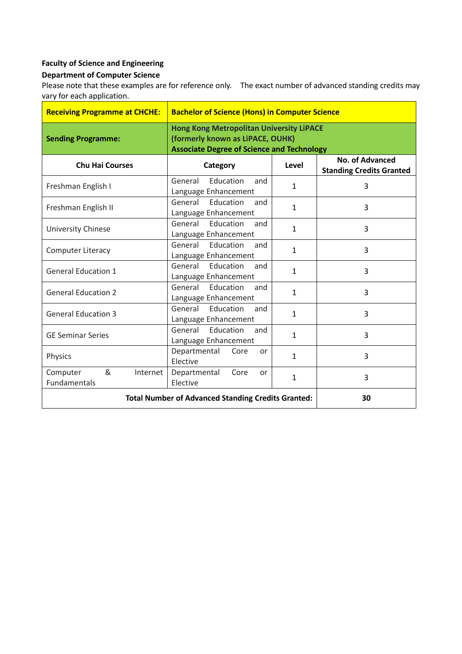## **Faculty of Science and Engineering**

## **Department of Computer Science**

Please note that these examples are for reference only. The exact number of advanced standing credits may vary for each application.

| <b>Receiving Programme at CHCHE:</b>                      | <b>Bachelor of Science (Hons) in Computer Science</b>                                                                                    |              |                                                    |
|-----------------------------------------------------------|------------------------------------------------------------------------------------------------------------------------------------------|--------------|----------------------------------------------------|
| <b>Sending Programme:</b>                                 | <b>Hong Kong Metropolitan University LiPACE</b><br>(formerly known as LiPACE, OUHK)<br><b>Associate Degree of Science and Technology</b> |              |                                                    |
| <b>Chu Hai Courses</b>                                    | Category                                                                                                                                 | Level        | No. of Advanced<br><b>Standing Credits Granted</b> |
| Freshman English I                                        | General<br>Education<br>and<br>Language Enhancement                                                                                      | $\mathbf{1}$ | 3                                                  |
| Freshman English II                                       | General<br>Education<br>and<br>Language Enhancement                                                                                      | $\mathbf{1}$ | 3                                                  |
| University Chinese                                        | Education<br>General<br>and<br>Language Enhancement                                                                                      | $\mathbf{1}$ | 3                                                  |
| <b>Computer Literacy</b>                                  | General Education<br>and<br>Language Enhancement                                                                                         | $\mathbf{1}$ | 3                                                  |
| <b>General Education 1</b>                                | General Education<br>and<br>Language Enhancement                                                                                         | $\mathbf{1}$ | 3                                                  |
| <b>General Education 2</b>                                | General<br>Education<br>and<br>Language Enhancement                                                                                      | $\mathbf{1}$ | 3                                                  |
| <b>General Education 3</b>                                | General Education<br>and<br>Language Enhancement                                                                                         | $\mathbf{1}$ | 3                                                  |
| <b>GE Seminar Series</b>                                  | General Education<br>and<br>Language Enhancement                                                                                         | $\mathbf{1}$ | 3                                                  |
| Physics                                                   | Departmental<br>Core<br><b>or</b><br>Elective                                                                                            | $\mathbf{1}$ | 3                                                  |
| &<br>Computer<br>Internet<br>Fundamentals                 | Departmental<br>Core<br><b>or</b><br>Elective                                                                                            | $\mathbf{1}$ | 3                                                  |
| <b>Total Number of Advanced Standing Credits Granted:</b> |                                                                                                                                          |              | 30                                                 |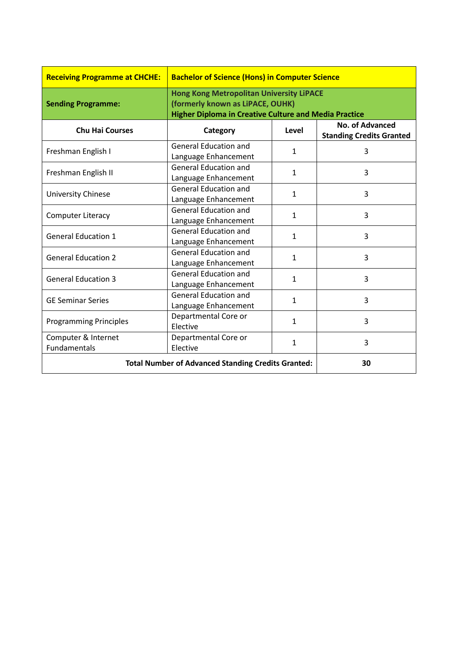| <b>Receiving Programme at CHCHE:</b>                      | <b>Bachelor of Science (Hons) in Computer Science</b>                                                                                               |              |                                                    |
|-----------------------------------------------------------|-----------------------------------------------------------------------------------------------------------------------------------------------------|--------------|----------------------------------------------------|
| <b>Sending Programme:</b>                                 | <b>Hong Kong Metropolitan University LiPACE</b><br>(formerly known as LiPACE, OUHK)<br><b>Higher Diploma in Creative Culture and Media Practice</b> |              |                                                    |
| <b>Chu Hai Courses</b>                                    | Category                                                                                                                                            | Level        | No. of Advanced<br><b>Standing Credits Granted</b> |
| Freshman English I                                        | <b>General Education and</b><br>Language Enhancement                                                                                                | $\mathbf{1}$ | 3                                                  |
| Freshman English II                                       | <b>General Education and</b><br>Language Enhancement                                                                                                | $\mathbf{1}$ | 3                                                  |
| <b>University Chinese</b>                                 | <b>General Education and</b><br>Language Enhancement                                                                                                | $\mathbf{1}$ | 3                                                  |
| <b>Computer Literacy</b>                                  | <b>General Education and</b><br>Language Enhancement                                                                                                | $\mathbf{1}$ | 3                                                  |
| <b>General Education 1</b>                                | <b>General Education and</b><br>Language Enhancement                                                                                                | $\mathbf{1}$ | 3                                                  |
| <b>General Education 2</b>                                | <b>General Education and</b><br>Language Enhancement                                                                                                | $\mathbf{1}$ | 3                                                  |
| <b>General Education 3</b>                                | <b>General Education and</b><br>Language Enhancement                                                                                                | $\mathbf{1}$ | 3                                                  |
| <b>GE Seminar Series</b>                                  | <b>General Education and</b><br>Language Enhancement                                                                                                | $\mathbf{1}$ | 3                                                  |
| <b>Programming Principles</b>                             | Departmental Core or<br>Elective                                                                                                                    | $\mathbf{1}$ | 3                                                  |
| Computer & Internet<br>Fundamentals                       | Departmental Core or<br>Elective                                                                                                                    | $\mathbf{1}$ | 3                                                  |
| <b>Total Number of Advanced Standing Credits Granted:</b> |                                                                                                                                                     |              | 30                                                 |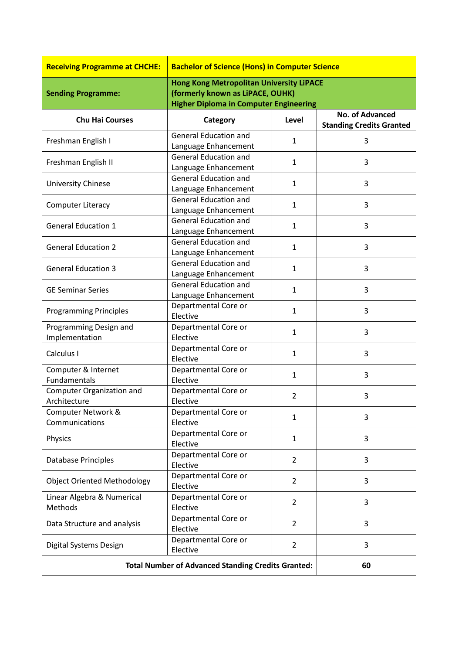| <b>Receiving Programme at CHCHE:</b>                      | <b>Bachelor of Science (Hons) in Computer Science</b>                                                                                |                |                                                           |
|-----------------------------------------------------------|--------------------------------------------------------------------------------------------------------------------------------------|----------------|-----------------------------------------------------------|
| <b>Sending Programme:</b>                                 | <b>Hong Kong Metropolitan University LiPACE</b><br>(formerly known as LiPACE, OUHK)<br><b>Higher Diploma in Computer Engineering</b> |                |                                                           |
| <b>Chu Hai Courses</b>                                    | Category                                                                                                                             | Level          | <b>No. of Advanced</b><br><b>Standing Credits Granted</b> |
| Freshman English I                                        | <b>General Education and</b><br>Language Enhancement                                                                                 | $\mathbf{1}$   | 3                                                         |
| Freshman English II                                       | <b>General Education and</b><br>Language Enhancement                                                                                 | $\mathbf{1}$   | 3                                                         |
| University Chinese                                        | <b>General Education and</b><br>Language Enhancement                                                                                 | 1              | 3                                                         |
| <b>Computer Literacy</b>                                  | <b>General Education and</b><br>Language Enhancement                                                                                 | 1              | 3                                                         |
| <b>General Education 1</b>                                | <b>General Education and</b><br>Language Enhancement                                                                                 | $\mathbf{1}$   | 3                                                         |
| <b>General Education 2</b>                                | <b>General Education and</b><br>Language Enhancement                                                                                 | $\mathbf{1}$   | 3                                                         |
| <b>General Education 3</b>                                | <b>General Education and</b><br>Language Enhancement                                                                                 | 1              | 3                                                         |
| <b>GE Seminar Series</b>                                  | <b>General Education and</b><br>Language Enhancement                                                                                 | $\mathbf{1}$   | 3                                                         |
| <b>Programming Principles</b>                             | Departmental Core or<br>Elective                                                                                                     | $\mathbf{1}$   | 3                                                         |
| Programming Design and<br>Implementation                  | Departmental Core or<br>Elective                                                                                                     | 1              | 3                                                         |
| Calculus I                                                | Departmental Core or<br>Elective                                                                                                     | 1              | 3                                                         |
| Computer & Internet<br>Fundamentals                       | Departmental Core or<br>Elective                                                                                                     | 1              | 3                                                         |
| <b>Computer Organization and</b><br>Architecture          | Departmental Core or<br>Elective                                                                                                     | $\overline{2}$ | 3                                                         |
| Computer Network &<br>Communications                      | Departmental Core or<br>Elective                                                                                                     | 1              | 3                                                         |
| Physics                                                   | Departmental Core or<br>Elective                                                                                                     | 1              | 3                                                         |
| Database Principles                                       | Departmental Core or<br>Elective                                                                                                     | $\overline{2}$ | 3                                                         |
| <b>Object Oriented Methodology</b>                        | Departmental Core or<br>Elective                                                                                                     | $\overline{2}$ | 3                                                         |
| Linear Algebra & Numerical<br>Methods                     | Departmental Core or<br>Elective                                                                                                     | $\overline{2}$ | 3                                                         |
| Data Structure and analysis                               | Departmental Core or<br>Elective                                                                                                     | $\overline{2}$ | 3                                                         |
| Digital Systems Design                                    | Departmental Core or<br>Elective                                                                                                     | $\overline{2}$ | 3                                                         |
| <b>Total Number of Advanced Standing Credits Granted:</b> |                                                                                                                                      | 60             |                                                           |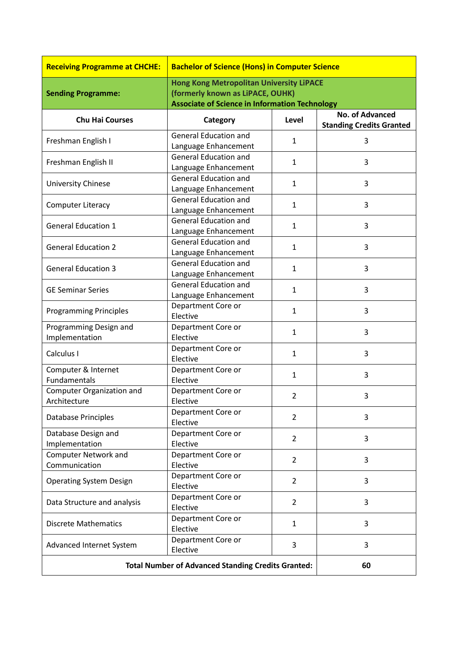| <b>Receiving Programme at CHCHE:</b>                      | <b>Bachelor of Science (Hons) in Computer Science</b>                                     |                |                                                           |
|-----------------------------------------------------------|-------------------------------------------------------------------------------------------|----------------|-----------------------------------------------------------|
|                                                           | <b>Hong Kong Metropolitan University LiPACE</b>                                           |                |                                                           |
| <b>Sending Programme:</b>                                 | (formerly known as LiPACE, OUHK)<br><b>Associate of Science in Information Technology</b> |                |                                                           |
| <b>Chu Hai Courses</b>                                    | Category                                                                                  | Level          | <b>No. of Advanced</b><br><b>Standing Credits Granted</b> |
| Freshman English I                                        | <b>General Education and</b><br>Language Enhancement                                      | $\mathbf{1}$   | 3                                                         |
| Freshman English II                                       | <b>General Education and</b><br>Language Enhancement                                      | 1              | 3                                                         |
| <b>University Chinese</b>                                 | <b>General Education and</b><br>Language Enhancement                                      | 1              | 3                                                         |
| <b>Computer Literacy</b>                                  | <b>General Education and</b><br>Language Enhancement                                      | $\mathbf{1}$   | 3                                                         |
| <b>General Education 1</b>                                | <b>General Education and</b><br>Language Enhancement                                      | 1              | 3                                                         |
| <b>General Education 2</b>                                | <b>General Education and</b><br>Language Enhancement                                      | 1              | 3                                                         |
| <b>General Education 3</b>                                | <b>General Education and</b><br>Language Enhancement                                      | $\mathbf{1}$   | 3                                                         |
| <b>GE Seminar Series</b>                                  | <b>General Education and</b><br>Language Enhancement                                      | $\mathbf{1}$   | 3                                                         |
| <b>Programming Principles</b>                             | Department Core or<br>Elective                                                            | 1              | 3                                                         |
| Programming Design and<br>Implementation                  | Department Core or<br>Elective                                                            | 1              | 3                                                         |
| Calculus I                                                | Department Core or<br>Elective                                                            | 1              | 3                                                         |
| Computer & Internet<br>Fundamentals                       | Department Core or<br>Elective                                                            | 1              | 3                                                         |
| <b>Computer Organization and</b><br>Architecture          | Department Core or<br>Elective                                                            | $\overline{2}$ | 3                                                         |
| Database Principles                                       | Department Core or<br>Elective                                                            | $\overline{2}$ | 3                                                         |
| Database Design and<br>Implementation                     | Department Core or<br>Elective                                                            | $\overline{2}$ | 3                                                         |
| <b>Computer Network and</b><br>Communication              | Department Core or<br>Elective                                                            | $\overline{2}$ | 3                                                         |
| <b>Operating System Design</b>                            | Department Core or<br>Elective                                                            | $\overline{2}$ | 3                                                         |
| Data Structure and analysis                               | Department Core or<br>Elective                                                            | $\overline{2}$ | 3                                                         |
| <b>Discrete Mathematics</b>                               | Department Core or<br>Elective                                                            | 1              | 3                                                         |
| Advanced Internet System                                  | Department Core or<br>Elective                                                            | 3              | 3                                                         |
| <b>Total Number of Advanced Standing Credits Granted:</b> |                                                                                           | 60             |                                                           |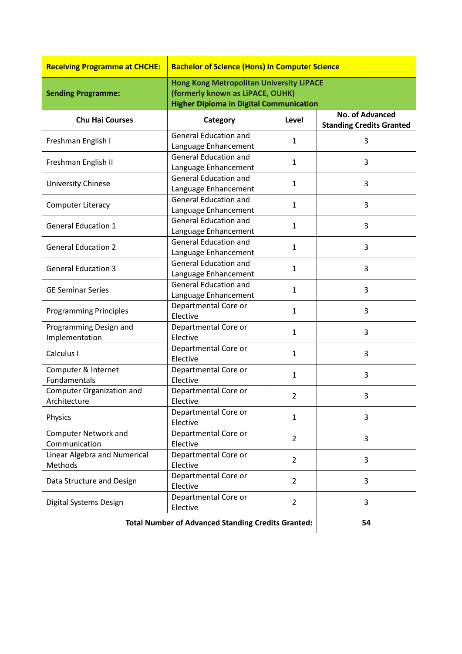| <b>Receiving Programme at CHCHE:</b>                      | <b>Bachelor of Science (Hons) in Computer Science</b>                                                                                 |                |                                                           |
|-----------------------------------------------------------|---------------------------------------------------------------------------------------------------------------------------------------|----------------|-----------------------------------------------------------|
| <b>Sending Programme:</b>                                 | <b>Hong Kong Metropolitan University LiPACE</b><br>(formerly known as LiPACE, OUHK)<br><b>Higher Diploma in Digital Communication</b> |                |                                                           |
| <b>Chu Hai Courses</b>                                    | Category                                                                                                                              | Level          | <b>No. of Advanced</b><br><b>Standing Credits Granted</b> |
| Freshman English I                                        | <b>General Education and</b><br>Language Enhancement                                                                                  | $\mathbf{1}$   | 3                                                         |
| Freshman English II                                       | <b>General Education and</b><br>Language Enhancement                                                                                  | $\mathbf{1}$   | 3                                                         |
| University Chinese                                        | <b>General Education and</b><br>Language Enhancement                                                                                  | 1              | 3                                                         |
| <b>Computer Literacy</b>                                  | <b>General Education and</b><br>Language Enhancement                                                                                  | 1              | 3                                                         |
| <b>General Education 1</b>                                | <b>General Education and</b><br>Language Enhancement                                                                                  | $\mathbf{1}$   | 3                                                         |
| <b>General Education 2</b>                                | <b>General Education and</b><br>Language Enhancement                                                                                  | $\mathbf{1}$   | 3                                                         |
| <b>General Education 3</b>                                | <b>General Education and</b><br>Language Enhancement                                                                                  | 1              | 3                                                         |
| <b>GE Seminar Series</b>                                  | <b>General Education and</b><br>Language Enhancement                                                                                  | $\mathbf{1}$   | 3                                                         |
| <b>Programming Principles</b>                             | Departmental Core or<br>Elective                                                                                                      | $\mathbf{1}$   | 3                                                         |
| Programming Design and<br>Implementation                  | Departmental Core or<br>Elective                                                                                                      | 1              | 3                                                         |
| Calculus I                                                | Departmental Core or<br>Elective                                                                                                      | 1              | 3                                                         |
| Computer & Internet<br><b>Fundamentals</b>                | Departmental Core or<br>Elective                                                                                                      | 1              | 3                                                         |
| Computer Organization and<br>Architecture                 | Departmental Core or<br>Elective                                                                                                      | $\overline{2}$ | 3                                                         |
| Physics                                                   | Departmental Core or<br>Elective                                                                                                      | $\mathbf{1}$   | 3                                                         |
| <b>Computer Network and</b><br>Communication              | Departmental Core or<br>Elective                                                                                                      | $\overline{2}$ | 3                                                         |
| Linear Algebra and Numerical<br>Methods                   | Departmental Core or<br>Elective                                                                                                      | $\overline{2}$ | 3                                                         |
| Data Structure and Design                                 | Departmental Core or<br>Elective                                                                                                      | $\overline{2}$ | 3                                                         |
| Digital Systems Design                                    | Departmental Core or<br>Elective                                                                                                      | $\overline{2}$ | 3                                                         |
| <b>Total Number of Advanced Standing Credits Granted:</b> |                                                                                                                                       | 54             |                                                           |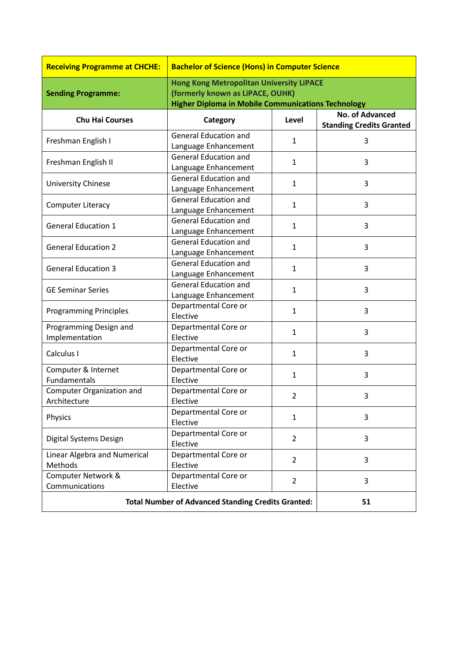| <b>Receiving Programme at CHCHE:</b>                      | <b>Bachelor of Science (Hons) in Computer Science</b>                                                                                            |                |                                 |
|-----------------------------------------------------------|--------------------------------------------------------------------------------------------------------------------------------------------------|----------------|---------------------------------|
| <b>Sending Programme:</b>                                 | <b>Hong Kong Metropolitan University LiPACE</b><br>(formerly known as LiPACE, OUHK)<br><b>Higher Diploma in Mobile Communications Technology</b> |                |                                 |
|                                                           |                                                                                                                                                  |                | <b>No. of Advanced</b>          |
| <b>Chu Hai Courses</b>                                    | Category                                                                                                                                         | Level          | <b>Standing Credits Granted</b> |
| Freshman English I                                        | <b>General Education and</b><br>Language Enhancement                                                                                             | $\mathbf{1}$   | 3                               |
| Freshman English II                                       | <b>General Education and</b><br>Language Enhancement                                                                                             | 1              | 3                               |
| University Chinese                                        | <b>General Education and</b><br>Language Enhancement                                                                                             | 1              | 3                               |
| <b>Computer Literacy</b>                                  | <b>General Education and</b><br>Language Enhancement                                                                                             | 1              | 3                               |
| <b>General Education 1</b>                                | <b>General Education and</b><br>Language Enhancement                                                                                             | $\mathbf{1}$   | 3                               |
| <b>General Education 2</b>                                | <b>General Education and</b><br>Language Enhancement                                                                                             | 1              | 3                               |
| <b>General Education 3</b>                                | <b>General Education and</b><br>Language Enhancement                                                                                             | 1              | 3                               |
| <b>GE Seminar Series</b>                                  | <b>General Education and</b><br>Language Enhancement                                                                                             | $\mathbf{1}$   | 3                               |
| <b>Programming Principles</b>                             | Departmental Core or<br>Elective                                                                                                                 | 1              | 3                               |
| Programming Design and<br>Implementation                  | Departmental Core or<br>Elective                                                                                                                 | 1              | 3                               |
| Calculus I                                                | Departmental Core or<br>Elective                                                                                                                 | 1              | 3                               |
| Computer & Internet<br>Fundamentals                       | Departmental Core or<br>Elective                                                                                                                 | 1              | 3                               |
| <b>Computer Organization and</b><br>Architecture          | Departmental Core or<br>Elective                                                                                                                 | $\overline{2}$ | 3                               |
| Physics                                                   | Departmental Core or<br>Elective                                                                                                                 | $\mathbf{1}$   | 3                               |
| Digital Systems Design                                    | Departmental Core or<br>Elective                                                                                                                 | $\overline{2}$ | 3                               |
| Linear Algebra and Numerical<br>Methods                   | Departmental Core or<br>Elective                                                                                                                 | $\overline{2}$ | 3                               |
| Computer Network &<br>Communications                      | Departmental Core or<br>Elective                                                                                                                 | $\overline{2}$ | 3                               |
| <b>Total Number of Advanced Standing Credits Granted:</b> |                                                                                                                                                  |                | 51                              |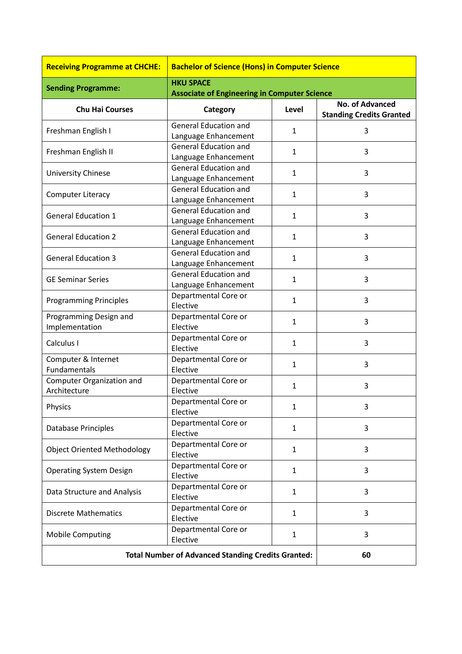| <b>Receiving Programme at CHCHE:</b>                      | <b>Bachelor of Science (Hons) in Computer Science</b> |              |                                                    |
|-----------------------------------------------------------|-------------------------------------------------------|--------------|----------------------------------------------------|
| <b>Sending Programme:</b>                                 | <b>HKU SPACE</b>                                      |              |                                                    |
|                                                           | <b>Associate of Engineering in Computer Science</b>   |              |                                                    |
| <b>Chu Hai Courses</b>                                    | Category                                              | Level        | No. of Advanced<br><b>Standing Credits Granted</b> |
| Freshman English I                                        | <b>General Education and</b><br>Language Enhancement  | $\mathbf{1}$ | 3                                                  |
| Freshman English II                                       | <b>General Education and</b><br>Language Enhancement  | $\mathbf{1}$ | 3                                                  |
| <b>University Chinese</b>                                 | <b>General Education and</b><br>Language Enhancement  | $\mathbf{1}$ | 3                                                  |
| <b>Computer Literacy</b>                                  | <b>General Education and</b><br>Language Enhancement  | $\mathbf{1}$ | 3                                                  |
| <b>General Education 1</b>                                | <b>General Education and</b><br>Language Enhancement  | $\mathbf{1}$ | 3                                                  |
| <b>General Education 2</b>                                | <b>General Education and</b><br>Language Enhancement  | $\mathbf{1}$ | 3                                                  |
| <b>General Education 3</b>                                | <b>General Education and</b><br>Language Enhancement  | $\mathbf{1}$ | 3                                                  |
| <b>GE Seminar Series</b>                                  | <b>General Education and</b><br>Language Enhancement  | $\mathbf{1}$ | 3                                                  |
| <b>Programming Principles</b>                             | Departmental Core or<br>Elective                      | $\mathbf{1}$ | 3                                                  |
| Programming Design and<br>Implementation                  | Departmental Core or<br>Elective                      | $\mathbf{1}$ | 3                                                  |
| Calculus I                                                | Departmental Core or<br>Elective                      | $\mathbf{1}$ | 3                                                  |
| Computer & Internet<br>Fundamentals                       | Departmental Core or<br>Elective                      | $\mathbf{1}$ | 3                                                  |
| <b>Computer Organization and</b><br>Architecture          | Departmental Core or<br>Elective                      | $\mathbf{1}$ | 3                                                  |
| Physics                                                   | Departmental Core or<br>Elective                      | 1            |                                                    |
| Database Principles                                       | Departmental Core or<br>Elective                      | $\mathbf{1}$ | 3                                                  |
| <b>Object Oriented Methodology</b>                        | Departmental Core or<br>Elective                      | $\mathbf{1}$ | 3                                                  |
| <b>Operating System Design</b>                            | Departmental Core or<br>Elective                      | $\mathbf{1}$ | 3                                                  |
| Data Structure and Analysis                               | Departmental Core or<br>Elective                      | $\mathbf{1}$ | 3                                                  |
| <b>Discrete Mathematics</b>                               | Departmental Core or<br>Elective                      | $\mathbf{1}$ | 3                                                  |
| <b>Mobile Computing</b>                                   | Departmental Core or<br>Elective                      | $\mathbf{1}$ | 3                                                  |
| <b>Total Number of Advanced Standing Credits Granted:</b> |                                                       | 60           |                                                    |